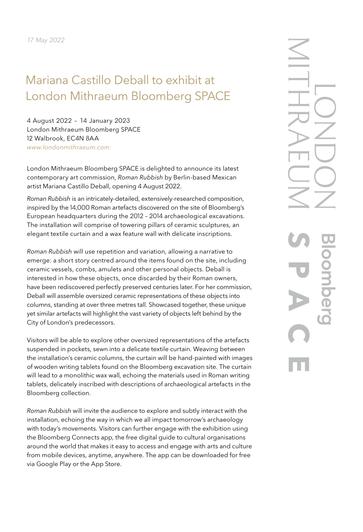# Mariana Castillo Deball to exhibit at London Mithraeum Bloomberg SPACE

4 August 2022 – 14 January 2023 London Mithraeum Bloomberg SPACE 12 Walbrook, EC4N 8AA *[www.londonmithraeum.com](http://www.londonmithraeum.com)*

London Mithraeum Bloomberg SPACE is delighted to announce its latest contemporary art commission, *Roman Rubbish* by Berlin-based Mexican artist Mariana Castillo Deball, opening 4 August 2022.

*Roman Rubbish* is an intricately-detailed, extensively-researched composition, inspired by the 14,000 Roman artefacts discovered on the site of Bloomberg's European headquarters during the 2012 – 2014 archaeological excavations. The installation will comprise of towering pillars of ceramic sculptures, an elegant textile curtain and a wax feature wall with delicate inscriptions.

*Roman Rubbish* will use repetition and variation, allowing a narrative to emerge: a short story centred around the items found on the site, including ceramic vessels, combs, amulets and other personal objects. Deball is interested in how these objects, once discarded by their Roman owners, have been rediscovered perfectly preserved centuries later. For her commission, Deball will assemble oversized ceramic representations of these objects into columns, standing at over three metres tall. Showcased together, these unique yet similar artefacts will highlight the vast variety of objects left behind by the City of London's predecessors.

Visitors will be able to explore other oversized representations of the artefacts suspended in pockets, sewn into a delicate textile curtain. Weaving between the installation's ceramic columns, the curtain will be hand-painted with images of wooden writing tablets found on the Bloomberg excavation site. The curtain will lead to a monolithic wax wall, echoing the materials used in Roman writing tablets, delicately inscribed with descriptions of archaeological artefacts in the Bloomberg collection.

*Roman Rubbish* will invite the audience to explore and subtly interact with the installation, echoing the way in which we all impact tomorrow's archaeology with today's movements. Visitors can further engage with the exhibition using the Bloomberg Connects app, the free digital guide to cultural organisations around the world that makes it easy to access and engage with arts and culture from mobile devices, anytime, anywhere. The app can be downloaded for free via [Google Play](https://play.google.com/store/apps/details?id=org.bloomberg.connects.docent&hl=en_US) or the [App Store.](https://apps.apple.com/us/app/bloomberg-connects/id1476456847)